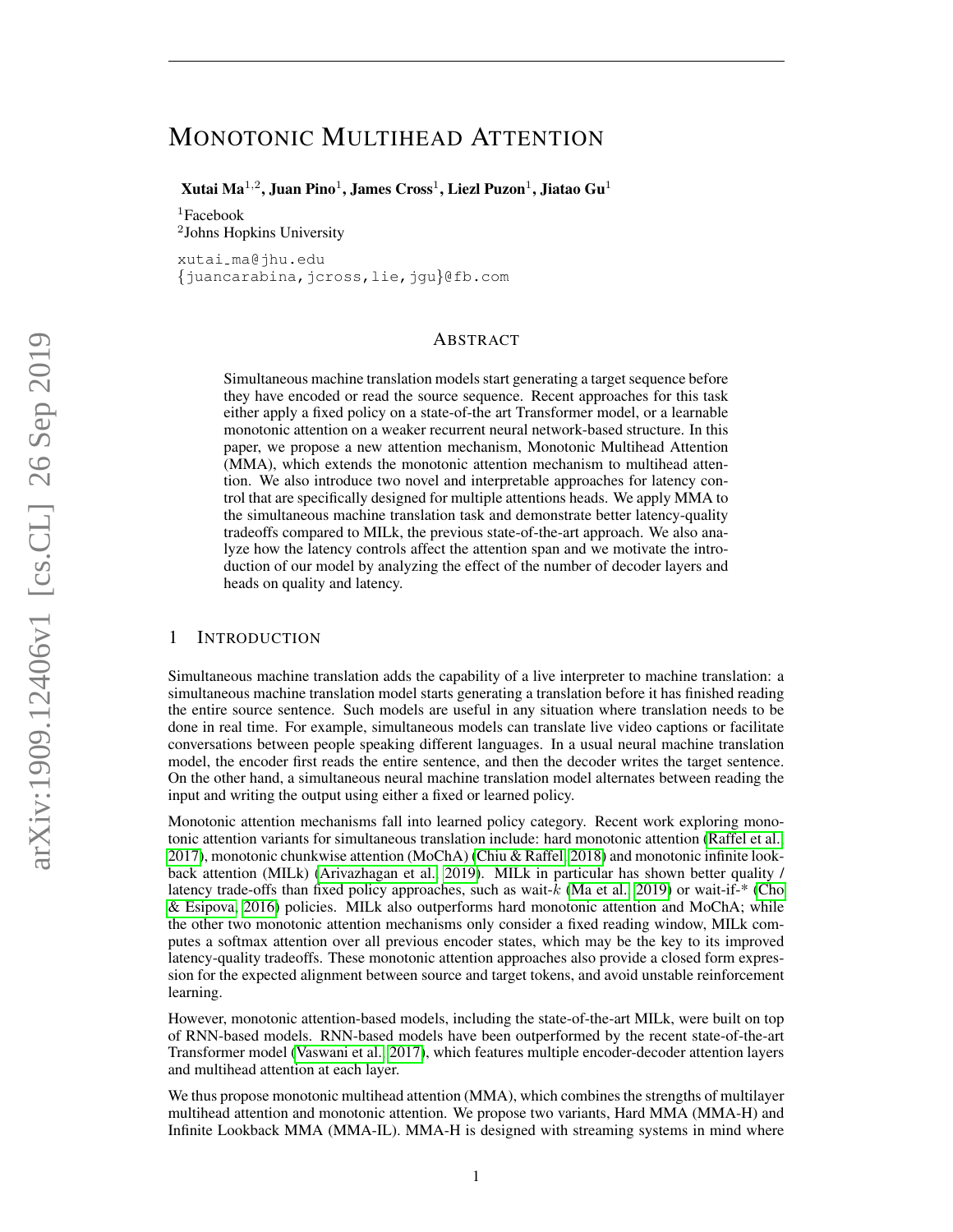# MONOTONIC MULTIHEAD ATTENTION

 $\mathbf X$ utai Ma $^{1,2}$ , Juan Pino $^{1}$ , James Cross $^{1}$ , Liezl Puzon $^{1}$ , Jiatao Gu $^{1}$ 

 ${}^{1}$ Facebook 2 Johns Hopkins University

xutai ma@jhu.edu {juancarabina,jcross,lie,jgu}@fb.com

#### ABSTRACT

Simultaneous machine translation models start generating a target sequence before they have encoded or read the source sequence. Recent approaches for this task either apply a fixed policy on a state-of-the art Transformer model, or a learnable monotonic attention on a weaker recurrent neural network-based structure. In this paper, we propose a new attention mechanism, Monotonic Multihead Attention (MMA), which extends the monotonic attention mechanism to multihead attention. We also introduce two novel and interpretable approaches for latency control that are specifically designed for multiple attentions heads. We apply MMA to the simultaneous machine translation task and demonstrate better latency-quality tradeoffs compared to MILk, the previous state-of-the-art approach. We also analyze how the latency controls affect the attention span and we motivate the introduction of our model by analyzing the effect of the number of decoder layers and heads on quality and latency.

# 1 INTRODUCTION

Simultaneous machine translation adds the capability of a live interpreter to machine translation: a simultaneous machine translation model starts generating a translation before it has finished reading the entire source sentence. Such models are useful in any situation where translation needs to be done in real time. For example, simultaneous models can translate live video captions or facilitate conversations between people speaking different languages. In a usual neural machine translation model, the encoder first reads the entire sentence, and then the decoder writes the target sentence. On the other hand, a simultaneous neural machine translation model alternates between reading the input and writing the output using either a fixed or learned policy.

Monotonic attention mechanisms fall into learned policy category. Recent work exploring monotonic attention variants for simultaneous translation include: hard monotonic attention [\(Raffel et al.,](#page-9-0) [2017\)](#page-9-0), monotonic chunkwise attention (MoChA) [\(Chiu & Raffel, 2018\)](#page-8-0) and monotonic infinite lookback attention (MILk) [\(Arivazhagan et al., 2019\)](#page-8-1). MILk in particular has shown better quality / latency trade-offs than fixed policy approaches, such as wait- $k$  [\(Ma et al., 2019\)](#page-9-1) or wait-if-\* [\(Cho](#page-8-2) [& Esipova, 2016\)](#page-8-2) policies. MILk also outperforms hard monotonic attention and MoChA; while the other two monotonic attention mechanisms only consider a fixed reading window, MILk computes a softmax attention over all previous encoder states, which may be the key to its improved latency-quality tradeoffs. These monotonic attention approaches also provide a closed form expression for the expected alignment between source and target tokens, and avoid unstable reinforcement learning.

However, monotonic attention-based models, including the state-of-the-art MILk, were built on top of RNN-based models. RNN-based models have been outperformed by the recent state-of-the-art Transformer model [\(Vaswani et al., 2017\)](#page-9-2), which features multiple encoder-decoder attention layers and multihead attention at each layer.

We thus propose monotonic multihead attention (MMA), which combines the strengths of multilayer multihead attention and monotonic attention. We propose two variants, Hard MMA (MMA-H) and Infinite Lookback MMA (MMA-IL). MMA-H is designed with streaming systems in mind where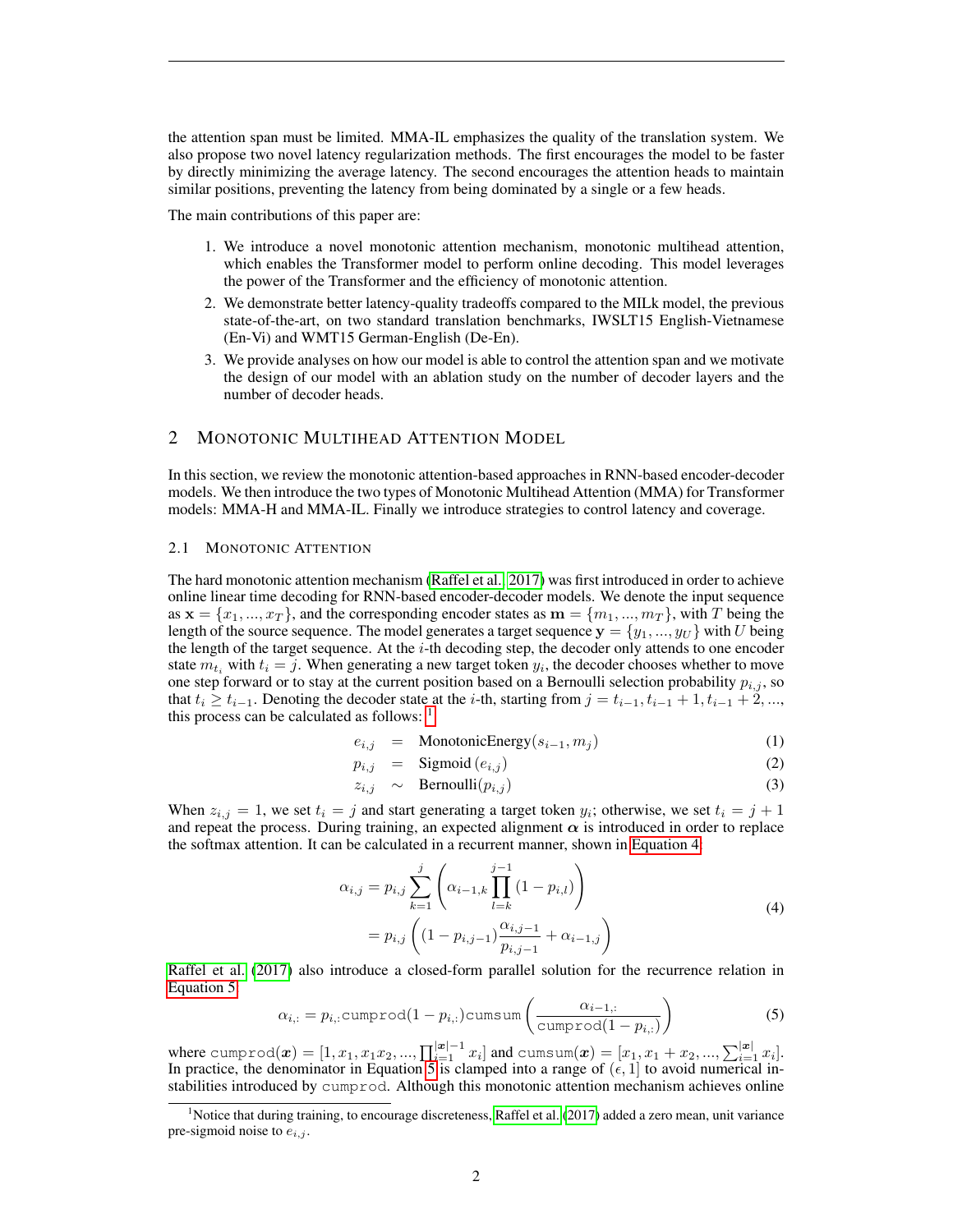the attention span must be limited. MMA-IL emphasizes the quality of the translation system. We also propose two novel latency regularization methods. The first encourages the model to be faster by directly minimizing the average latency. The second encourages the attention heads to maintain similar positions, preventing the latency from being dominated by a single or a few heads.

The main contributions of this paper are:

- 1. We introduce a novel monotonic attention mechanism, monotonic multihead attention, which enables the Transformer model to perform online decoding. This model leverages the power of the Transformer and the efficiency of monotonic attention.
- 2. We demonstrate better latency-quality tradeoffs compared to the MILk model, the previous state-of-the-art, on two standard translation benchmarks, IWSLT15 English-Vietnamese (En-Vi) and WMT15 German-English (De-En).
- 3. We provide analyses on how our model is able to control the attention span and we motivate the design of our model with an ablation study on the number of decoder layers and the number of decoder heads.

# 2 MONOTONIC MULTIHEAD ATTENTION MODEL

In this section, we review the monotonic attention-based approaches in RNN-based encoder-decoder models. We then introduce the two types of Monotonic Multihead Attention (MMA) for Transformer models: MMA-H and MMA-IL. Finally we introduce strategies to control latency and coverage.

## <span id="page-1-3"></span>2.1 MONOTONIC ATTENTION

The hard monotonic attention mechanism [\(Raffel et al., 2017\)](#page-9-0) was first introduced in order to achieve online linear time decoding for RNN-based encoder-decoder models. We denote the input sequence as  $\mathbf{x} = \{x_1, ..., x_T\}$ , and the corresponding encoder states as  $\mathbf{m} = \{m_1, ..., m_T\}$ , with T being the length of the source sequence. The model generates a target sequence  $\mathbf{y} = \{y_1, ..., y_U\}$  with U being the length of the target sequence. At the i-th decoding step, the decoder only attends to one encoder state  $m_{t_i}$  with  $t_i = j$ . When generating a new target token  $y_i$ , the decoder chooses whether to move one step forward or to stay at the current position based on a Bernoulli selection probability  $p_{i,j}$ , so that  $t_i \geq t_{i-1}$ . Denoting the decoder state at the *i*-th, starting from  $j = t_{i-1}, t_{i-1} + 1, t_{i-1} + 2, ...,$ this process can be calculated as follows:  $<sup>1</sup>$  $<sup>1</sup>$  $<sup>1</sup>$ </sup>

$$
e_{i,j} = \text{MonotonicEnergy}(s_{i-1}, m_j) \tag{1}
$$

$$
p_{i,j} = \text{Sigmoid}(e_{i,j}) \tag{2}
$$

<span id="page-1-1"></span>
$$
z_{i,j} \sim \text{Bernoulli}(p_{i,j}) \tag{3}
$$

When  $z_{i,j} = 1$ , we set  $t_i = j$  and start generating a target token  $y_i$ ; otherwise, we set  $t_i = j + 1$ and repeat the process. During training, an expected alignment  $\alpha$  is introduced in order to replace the softmax attention. It can be calculated in a recurrent manner, shown in [Equation 4:](#page-1-1)

$$
\alpha_{i,j} = p_{i,j} \sum_{k=1}^{j} \left( \alpha_{i-1,k} \prod_{l=k}^{j-1} (1 - p_{i,l}) \right)
$$
  
=  $p_{i,j} \left( (1 - p_{i,j-1}) \frac{\alpha_{i,j-1}}{p_{i,j-1}} + \alpha_{i-1,j} \right)$  (4)

[Raffel et al.](#page-9-0) [\(2017\)](#page-9-0) also introduce a closed-form parallel solution for the recurrence relation in [Equation 5:](#page-1-2)

<span id="page-1-2"></span>
$$
\alpha_{i,:} = p_{i,:} \text{cumprod}(1 - p_{i,:}) \text{cumsum}\left(\frac{\alpha_{i-1,:}}{\text{cumprod}(1 - p_{i,:})}\right)
$$
\n(5)

where  $\text{cumprod}(\bm{x}) = [1, x_1, x_1 x_2, ..., \prod_{i=1}^{|\bm{x}|-1} x_i]$  and  $\text{cumsum}(\bm{x}) = [x_1, x_1 + x_2, ..., \sum_{i=1}^{|\bm{x}|} x_i].$ In practice, the denominator in Equation [5](#page-1-2) is clamped into a range of  $(\epsilon, 1]$  to avoid numerical instabilities introduced by cumprod. Although this monotonic attention mechanism achieves online

<span id="page-1-0"></span><sup>&</sup>lt;sup>1</sup>Notice that during training, to encourage discreteness, [Raffel et al.](#page-9-0) [\(2017\)](#page-9-0) added a zero mean, unit variance pre-sigmoid noise to  $e_{i,j}$ .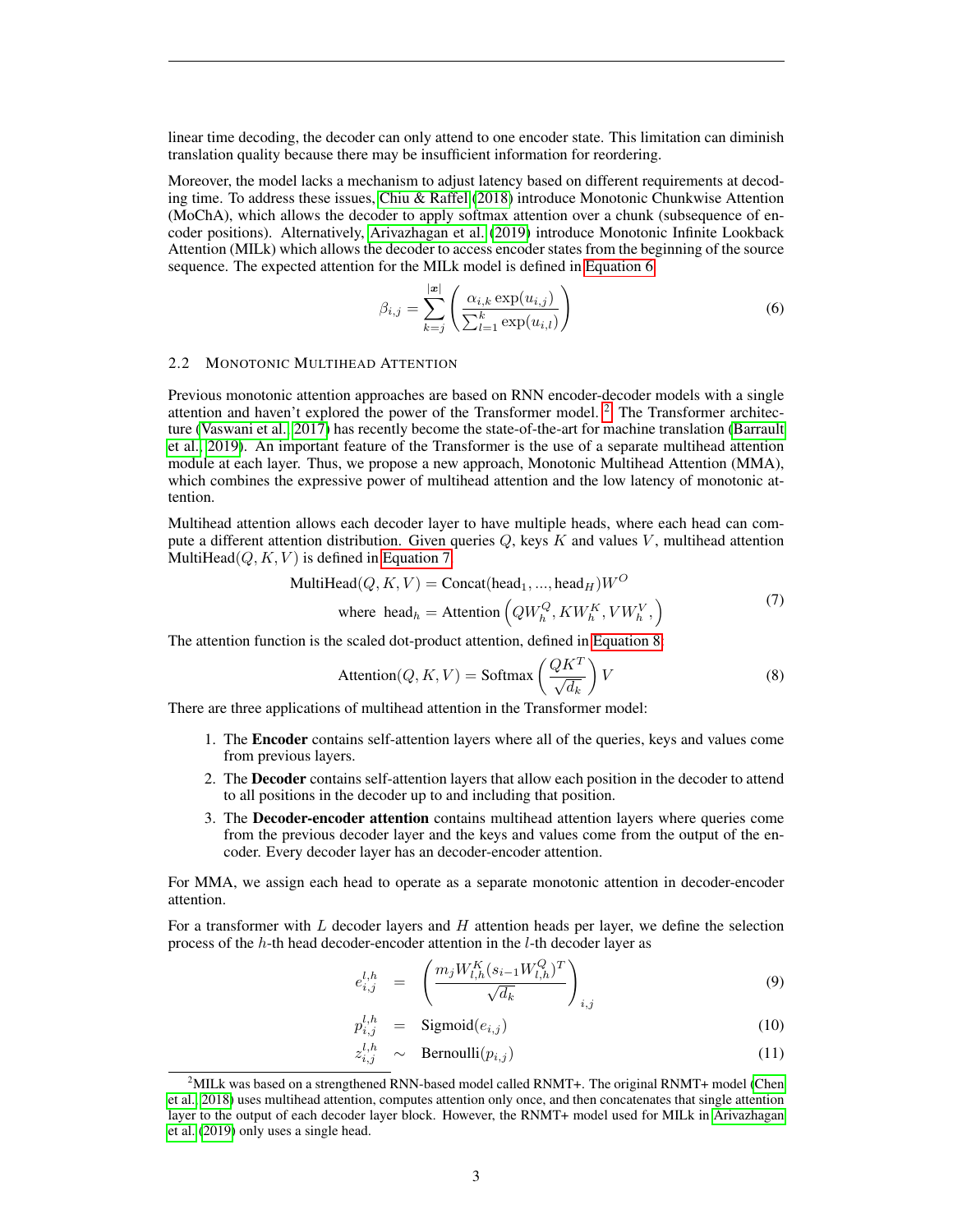linear time decoding, the decoder can only attend to one encoder state. This limitation can diminish translation quality because there may be insufficient information for reordering.

Moreover, the model lacks a mechanism to adjust latency based on different requirements at decoding time. To address these issues, [Chiu & Raffel](#page-8-0) [\(2018\)](#page-8-0) introduce Monotonic Chunkwise Attention (MoChA), which allows the decoder to apply softmax attention over a chunk (subsequence of encoder positions). Alternatively, [Arivazhagan et al.](#page-8-1) [\(2019\)](#page-8-1) introduce Monotonic Infinite Lookback Attention (MILk) which allows the decoder to access encoder states from the beginning of the source sequence. The expected attention for the MILk model is defined in [Equation 6.](#page-2-0)

<span id="page-2-0"></span>
$$
\beta_{i,j} = \sum_{k=j}^{|\mathbf{x}|} \left( \frac{\alpha_{i,k} \exp(u_{i,j})}{\sum_{l=1}^k \exp(u_{i,l})} \right) \tag{6}
$$

#### <span id="page-2-4"></span>2.2 MONOTONIC MULTIHEAD ATTENTION

Previous monotonic attention approaches are based on RNN encoder-decoder models with a single attention and haven't explored the power of the Transformer model. [2](#page-2-1) The Transformer architecture [\(Vaswani et al., 2017\)](#page-9-2) has recently become the state-of-the-art for machine translation [\(Barrault](#page-8-3) [et al., 2019\)](#page-8-3). An important feature of the Transformer is the use of a separate multihead attention module at each layer. Thus, we propose a new approach, Monotonic Multihead Attention (MMA), which combines the expressive power of multihead attention and the low latency of monotonic attention.

Multihead attention allows each decoder layer to have multiple heads, where each head can compute a different attention distribution. Given queries  $Q$ , keys K and values V, multihead attention MultiHead $(Q, K, V)$  is defined in [Equation 7.](#page-2-2)

<span id="page-2-2"></span>
$$
\text{MultiHead}(Q, K, V) = \text{Concat}(\text{head}_1, ..., \text{head}_H)W^O
$$
\n
$$
\text{where } \text{head}_h = \text{Attention}\left(QW_h^Q, KW_h^K, VW_h^V, \right) \tag{7}
$$

The attention function is the scaled dot-product attention, defined in [Equation 8:](#page-2-3)

<span id="page-2-3"></span>
$$
Attention(Q, K, V) = Softmax\left(\frac{QK^T}{\sqrt{d_k}}\right)V\tag{8}
$$

There are three applications of multihead attention in the Transformer model:

- 1. The Encoder contains self-attention layers where all of the queries, keys and values come from previous layers.
- 2. The Decoder contains self-attention layers that allow each position in the decoder to attend to all positions in the decoder up to and including that position.
- 3. The Decoder-encoder attention contains multihead attention layers where queries come from the previous decoder layer and the keys and values come from the output of the encoder. Every decoder layer has an decoder-encoder attention.

For MMA, we assign each head to operate as a separate monotonic attention in decoder-encoder attention.

For a transformer with  $L$  decoder layers and  $H$  attention heads per layer, we define the selection process of the h-th head decoder-encoder attention in the l-th decoder layer as

$$
e_{i,j}^{l,h} = \left(\frac{m_j W_{l,h}^K (s_{i-1} W_{l,h}^Q)^T}{\sqrt{d_k}}\right)_{i,j}
$$
(9)

$$
p_{i,j}^{l,h} = \text{Sigmoid}(e_{i,j}) \tag{10}
$$

$$
z_{i,j}^{l,h} \sim \text{Bernoulli}(p_{i,j}) \tag{11}
$$

<span id="page-2-1"></span> $2$ MILk was based on a strengthened RNN-based model called RNMT+. The original RNMT+ model [\(Chen](#page-8-4) [et al., 2018\)](#page-8-4) uses multihead attention, computes attention only once, and then concatenates that single attention layer to the output of each decoder layer block. However, the RNMT+ model used for MILk in [Arivazhagan](#page-8-1) [et al.](#page-8-1) [\(2019\)](#page-8-1) only uses a single head.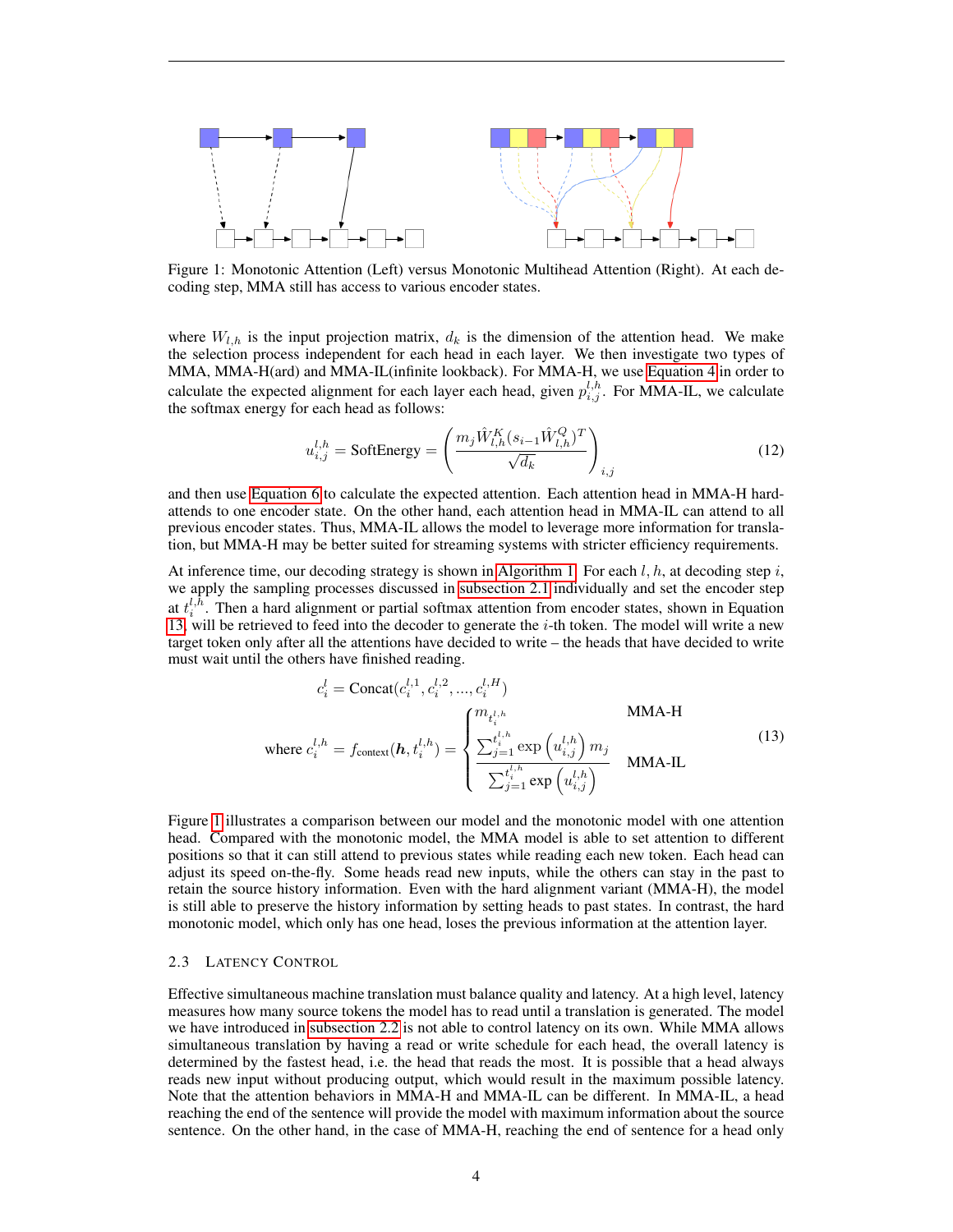<span id="page-3-1"></span>

Figure 1: Monotonic Attention (Left) versus Monotonic Multihead Attention (Right). At each decoding step, MMA still has access to various encoder states.

where  $W_{l,h}$  is the input projection matrix,  $d_k$  is the dimension of the attention head. We make the selection process independent for each head in each layer. We then investigate two types of MMA, MMA-H(ard) and MMA-IL(infinite lookback). For MMA-H, we use [Equation 4](#page-1-1) in order to calculate the expected alignment for each layer each head, given  $p_{i,j}^{l,h}$ . For MMA-IL, we calculate the softmax energy for each head as follows:

$$
u_{i,j}^{l,h} = \text{SoftEnergy} = \left(\frac{m_j \hat{W}_{l,h}^K (s_{i-1} \hat{W}_{l,h}^Q)^T}{\sqrt{d_k}}\right)_{i,j}
$$
(12)

and then use [Equation 6](#page-2-0) to calculate the expected attention. Each attention head in MMA-H hardattends to one encoder state. On the other hand, each attention head in MMA-IL can attend to all previous encoder states. Thus, MMA-IL allows the model to leverage more information for translation, but MMA-H may be better suited for streaming systems with stricter efficiency requirements.

At inference time, our decoding strategy is shown in [Algorithm 1.](#page-4-0) For each  $l, h$ , at decoding step  $i$ , we apply the sampling processes discussed in [subsection 2.1](#page-1-3) individually and set the encoder step at  $t_i^{l,h}$ . Then a hard alignment or partial softmax attention from encoder states, shown in Equation [13,](#page-3-0) will be retrieved to feed into the decoder to generate the  $i$ -th token. The model will write a new target token only after all the attentions have decided to write – the heads that have decided to write must wait until the others have finished reading.

<span id="page-3-0"></span>
$$
c_i^l = \text{Concat}(c_i^{l,1}, c_i^{l,2}, ..., c_i^{l,H})
$$
  
\nwhere  $c_i^{l,h} = f_{\text{context}}(\boldsymbol{h}, t_i^{l,h}) = \begin{cases} m_{t_i^{l,h}} & \text{MMA-H} \\ \frac{\sum_{j=1}^{t_i^{l,h}} \exp\left(u_{i,j}^{l,h}\right) m_j}{\sum_{j=1}^{t_i^{l,h}} \exp\left(u_{i,j}^{l,h}\right)} & \text{MMA-II.} \end{cases}$  (13)

Figure [1](#page-3-1) illustrates a comparison between our model and the monotonic model with one attention head. Compared with the monotonic model, the MMA model is able to set attention to different positions so that it can still attend to previous states while reading each new token. Each head can adjust its speed on-the-fly. Some heads read new inputs, while the others can stay in the past to retain the source history information. Even with the hard alignment variant (MMA-H), the model is still able to preserve the history information by setting heads to past states. In contrast, the hard monotonic model, which only has one head, loses the previous information at the attention layer.

## <span id="page-3-2"></span>2.3 LATENCY CONTROL

Effective simultaneous machine translation must balance quality and latency. At a high level, latency measures how many source tokens the model has to read until a translation is generated. The model we have introduced in [subsection 2.2](#page-2-4) is not able to control latency on its own. While MMA allows simultaneous translation by having a read or write schedule for each head, the overall latency is determined by the fastest head, i.e. the head that reads the most. It is possible that a head always reads new input without producing output, which would result in the maximum possible latency. Note that the attention behaviors in MMA-H and MMA-IL can be different. In MMA-IL, a head reaching the end of the sentence will provide the model with maximum information about the source sentence. On the other hand, in the case of MMA-H, reaching the end of sentence for a head only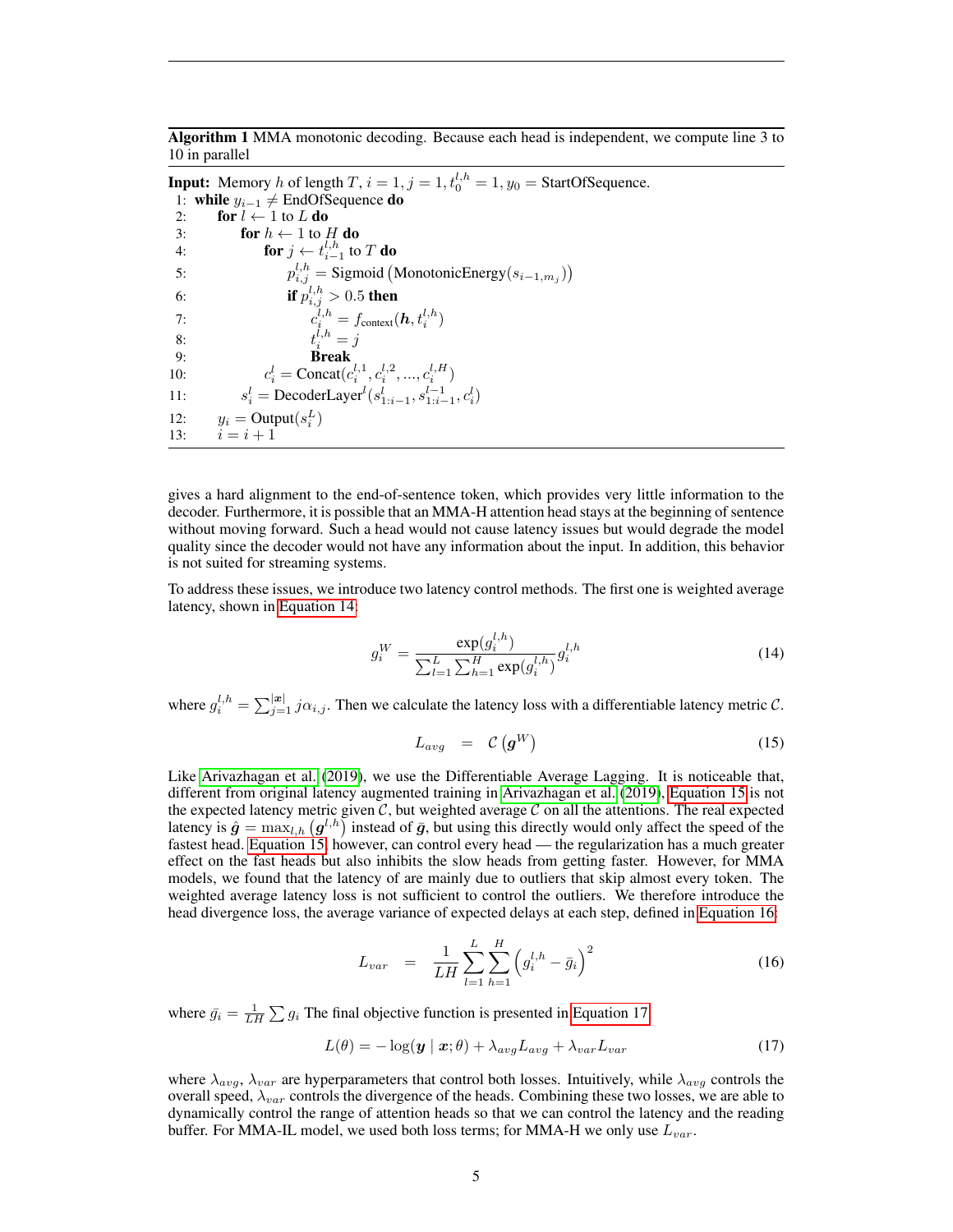<span id="page-4-0"></span>Algorithm 1 MMA monotonic decoding. Because each head is independent, we compute line 3 to 10 in parallel

**Input:** Memory *h* of length  $T$ ,  $i = 1$ ,  $j = 1$ ,  $t_0^{l,h} = 1$ ,  $y_0 =$  StartOfSequence. 1: while  $y_{i-1} \neq$  EndOfSequence do 2: for  $l \leftarrow 1$  to L do 3: for  $h \leftarrow 1$  to  $H$  do 4: **for**  $j \leftarrow t_{i-1}^{l,h}$  to T **do** 5:  $p_{i,j}^{l,h} =$  Sigmoid (MonotonicEnergy $(s_{i-1,m_j})$ ) 6: if  $p_{i,j}^{l,h} > 0.5$  then 7:  $c_i^{l,h} = f_{\text{context}}(\bm{h}, t_i^{l,h})$ <br>8:  $t_i^{l,h} = j$ 8:  $t$ 9: Break 10:  $c_i^l = \text{Concat}(c_i^{l,1}, c_i^{l,2}, ..., c_i^{l,H})$  $11:$  $l_i^l = \text{Decoder}^l(s_{1:i-1}^l, s_{1:i-1}^{l-1}, c_i^l)$ 12:  $y_i = \text{Output}(s_i^L)$ 13:  $i = i + 1$ 

gives a hard alignment to the end-of-sentence token, which provides very little information to the decoder. Furthermore, it is possible that an MMA-H attention head stays at the beginning of sentence without moving forward. Such a head would not cause latency issues but would degrade the model quality since the decoder would not have any information about the input. In addition, this behavior is not suited for streaming systems.

To address these issues, we introduce two latency control methods. The first one is weighted average latency, shown in [Equation 14:](#page-4-1)

<span id="page-4-1"></span>
$$
g_i^W = \frac{\exp(g_i^{l,h})}{\sum_{l=1}^L \sum_{h=1}^H \exp(g_i^{l,h})} g_i^{l,h}
$$
(14)

where  $g_i^{l,h} = \sum_{j=1}^{|x|} j \alpha_{i,j}$ . Then we calculate the latency loss with a differentiable latency metric C.

<span id="page-4-2"></span>
$$
L_{avg} = \mathcal{C}\left(\boldsymbol{g}^W\right) \tag{15}
$$

Like [Arivazhagan et al.](#page-8-1) [\(2019\)](#page-8-1), we use the Differentiable Average Lagging. It is noticeable that, different from original latency augmented training in [Arivazhagan et al.](#page-8-1) [\(2019\)](#page-8-1), [Equation 15](#page-4-2) is not the expected latency metric given  $C$ , but weighted average  $C$  on all the attentions. The real expected latency is  $\hat{g} = \max_{l,h} (g^{l,h})$  instead of  $\bar{g}$ , but using this directly would only affect the speed of the fastest head. [Equation 15,](#page-4-2) however, can control every head — the regularization has a much greater effect on the fast heads but also inhibits the slow heads from getting faster. However, for MMA models, we found that the latency of are mainly due to outliers that skip almost every token. The weighted average latency loss is not sufficient to control the outliers. We therefore introduce the head divergence loss, the average variance of expected delays at each step, defined in [Equation 16:](#page-4-3)

<span id="page-4-3"></span>
$$
L_{var} = \frac{1}{LH} \sum_{l=1}^{L} \sum_{h=1}^{H} \left( g_i^{l,h} - \bar{g}_i \right)^2 \tag{16}
$$

where  $\bar{g}_i = \frac{1}{LH} \sum g_i$  The final objective function is presented in [Equation 17:](#page-4-4)

<span id="page-4-4"></span>
$$
L(\theta) = -\log(\mathbf{y} \mid \mathbf{x}; \theta) + \lambda_{avg} L_{avg} + \lambda_{var} L_{var}
$$
\n(17)

where  $\lambda_{avg}$ ,  $\lambda_{var}$  are hyperparameters that control both losses. Intuitively, while  $\lambda_{avg}$  controls the overall speed,  $\lambda_{var}$  controls the divergence of the heads. Combining these two losses, we are able to dynamically control the range of attention heads so that we can control the latency and the reading buffer. For MMA-IL model, we used both loss terms; for MMA-H we only use  $L_{var}$ .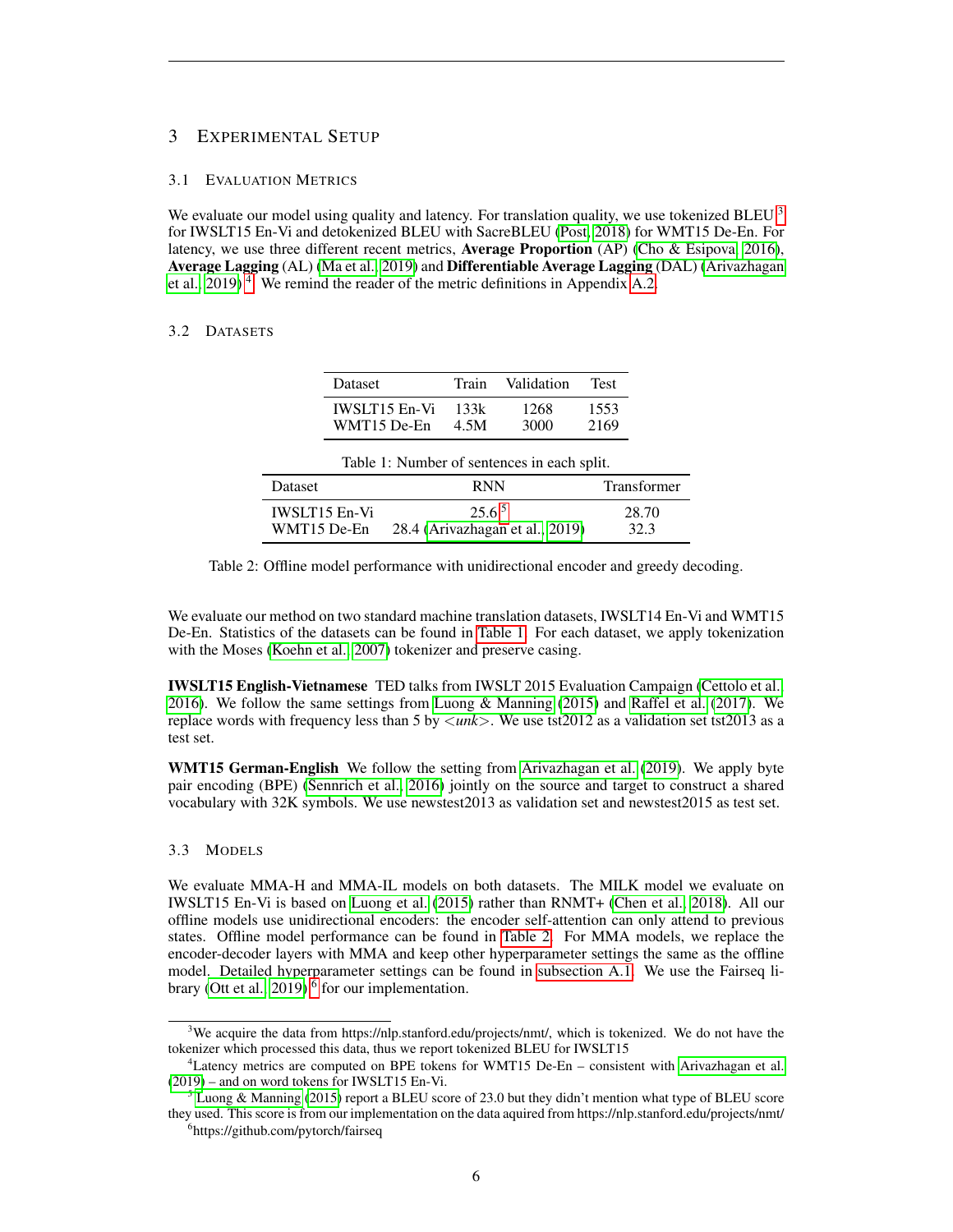# 3 EXPERIMENTAL SETUP

## 3.1 EVALUATION METRICS

We evaluate our model using quality and latency. For translation quality, we use tokenized BLEU  $^3$  $^3$ for IWSLT15 En-Vi and detokenized BLEU with SacreBLEU [\(Post, 2018\)](#page-9-3) for WMT15 De-En. For latency, we use three different recent metrics, **Average Proportion** (AP) [\(Cho & Esipova, 2016\)](#page-8-2), Average Lagging (AL) [\(Ma et al., 2019\)](#page-9-1) and Differentiable Average Lagging (DAL) [\(Arivazhagan](#page-8-1) et al.,  $2019$ <sup>[4](#page-5-1)</sup>. We remind the reader of the metric definitions in Appendix [A.2.](#page-10-0)

# <span id="page-5-3"></span>3.2 DATASETS

|                                             | Dataset              | Train | Validation                      | <b>Test</b> |                    |  |
|---------------------------------------------|----------------------|-------|---------------------------------|-------------|--------------------|--|
|                                             | <b>IWSLT15 En-Vi</b> | 133k  | 1268                            | 1553        |                    |  |
|                                             | WMT15 De-En          | 4.5M  | 3000                            | 2169        |                    |  |
| Table 1: Number of sentences in each split. |                      |       |                                 |             |                    |  |
| Dataset                                     |                      |       | <b>RNN</b>                      |             | <b>Transformer</b> |  |
| <b>IWSLT15 En-Vi</b>                        |                      |       | 25.6 <sup>5</sup>               |             | 28.70              |  |
| WMT15 De-En                                 |                      |       | 28.4 (Arivazhagan et al., 2019) |             | 32.3               |  |

Table 2: Offline model performance with unidirectional encoder and greedy decoding.

We evaluate our method on two standard machine translation datasets, IWSLT14 En-Vi and WMT15 De-En. Statistics of the datasets can be found in [Table 1.](#page-5-3) For each dataset, we apply tokenization with the Moses [\(Koehn et al., 2007\)](#page-9-4) tokenizer and preserve casing.

IWSLT15 English-Vietnamese TED talks from IWSLT 2015 Evaluation Campaign [\(Cettolo et al.,](#page-8-5) [2016\)](#page-8-5). We follow the same settings from [Luong & Manning](#page-9-5) [\(2015\)](#page-9-5) and [Raffel et al.](#page-9-0) [\(2017\)](#page-9-0). We replace words with frequency less than 5 by <*unk*>. We use tst2012 as a validation set tst2013 as a test set.

WMT15 German-English We follow the setting from [Arivazhagan et al.](#page-8-1) [\(2019\)](#page-8-1). We apply byte pair encoding (BPE) [\(Sennrich et al., 2016\)](#page-9-6) jointly on the source and target to construct a shared vocabulary with 32K symbols. We use newstest2013 as validation set and newstest2015 as test set.

#### 3.3 MODELS

We evaluate MMA-H and MMA-IL models on both datasets. The MILK model we evaluate on IWSLT15 En-Vi is based on [Luong et al.](#page-9-7) [\(2015\)](#page-9-7) rather than RNMT+ [\(Chen et al., 2018\)](#page-8-4). All our offline models use unidirectional encoders: the encoder self-attention can only attend to previous states. Offline model performance can be found in [Table 2.](#page-5-3) For MMA models, we replace the encoder-decoder layers with MMA and keep other hyperparameter settings the same as the offline model. Detailed hyperparameter settings can be found in [subsection A.1.](#page-10-1) We use the Fairseq li-brary [\(Ott et al., 2019\)](#page-9-8)  $\delta$  for our implementation.

<span id="page-5-0"></span> $3$ We acquire the data from https://nlp.stanford.edu/projects/nmt/, which is tokenized. We do not have the tokenizer which processed this data, thus we report tokenized BLEU for IWSLT15

<span id="page-5-1"></span><sup>4</sup>Latency metrics are computed on BPE tokens for WMT15 De-En – consistent with [Arivazhagan et al.](#page-8-1) [\(2019\)](#page-8-1) – and on word tokens for IWSLT15 En-Vi.

<span id="page-5-2"></span><sup>5</sup> [Luong & Manning](#page-9-5) [\(2015\)](#page-9-5) report a BLEU score of 23.0 but they didn't mention what type of BLEU score they used. This score is from our implementation on the data aquired from https://nlp.stanford.edu/projects/nmt/

<span id="page-5-4"></span><sup>6</sup> https://github.com/pytorch/fairseq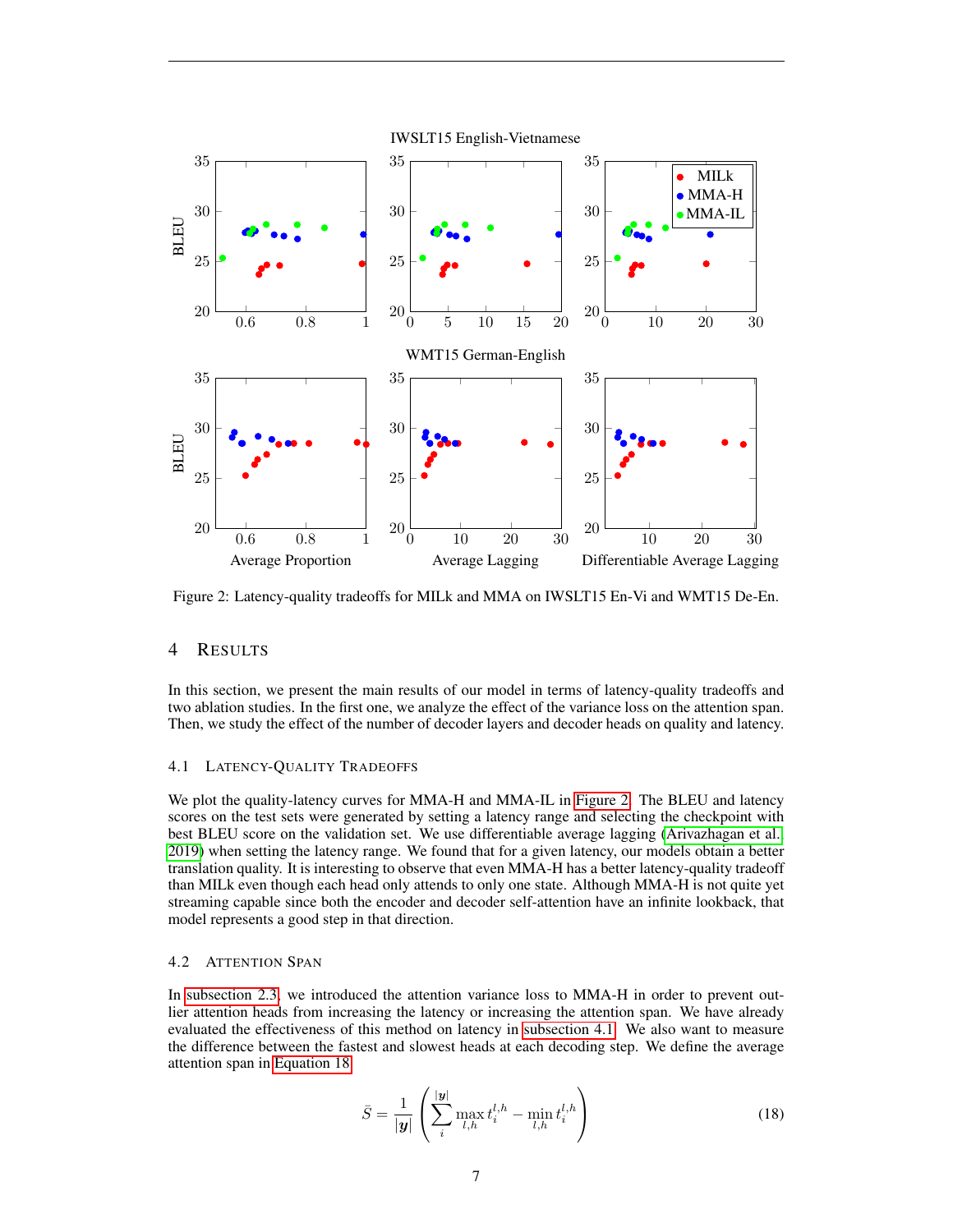<span id="page-6-0"></span>

Figure 2: Latency-quality tradeoffs for MILk and MMA on IWSLT15 En-Vi and WMT15 De-En.

# 4 RESULTS

In this section, we present the main results of our model in terms of latency-quality tradeoffs and two ablation studies. In the first one, we analyze the effect of the variance loss on the attention span. Then, we study the effect of the number of decoder layers and decoder heads on quality and latency.

## <span id="page-6-1"></span>4.1 LATENCY-QUALITY TRADEOFFS

We plot the quality-latency curves for MMA-H and MMA-IL in [Figure 2.](#page-6-0) The BLEU and latency scores on the test sets were generated by setting a latency range and selecting the checkpoint with best BLEU score on the validation set. We use differentiable average lagging [\(Arivazhagan et al.,](#page-8-1) [2019\)](#page-8-1) when setting the latency range. We found that for a given latency, our models obtain a better translation quality. It is interesting to observe that even MMA-H has a better latency-quality tradeoff than MILk even though each head only attends to only one state. Although MMA-H is not quite yet streaming capable since both the encoder and decoder self-attention have an infinite lookback, that model represents a good step in that direction.

## 4.2 ATTENTION SPAN

In [subsection 2.3,](#page-3-2) we introduced the attention variance loss to MMA-H in order to prevent outlier attention heads from increasing the latency or increasing the attention span. We have already evaluated the effectiveness of this method on latency in [subsection 4.1.](#page-6-1) We also want to measure the difference between the fastest and slowest heads at each decoding step. We define the average attention span in [Equation 18:](#page-6-2)

<span id="page-6-2"></span>
$$
\bar{S} = \frac{1}{|\mathbf{y}|} \left( \sum_{i}^{\|\mathbf{y}\|} \max_{l,h} t_i^{l,h} - \min_{l,h} t_i^{l,h} \right) \tag{18}
$$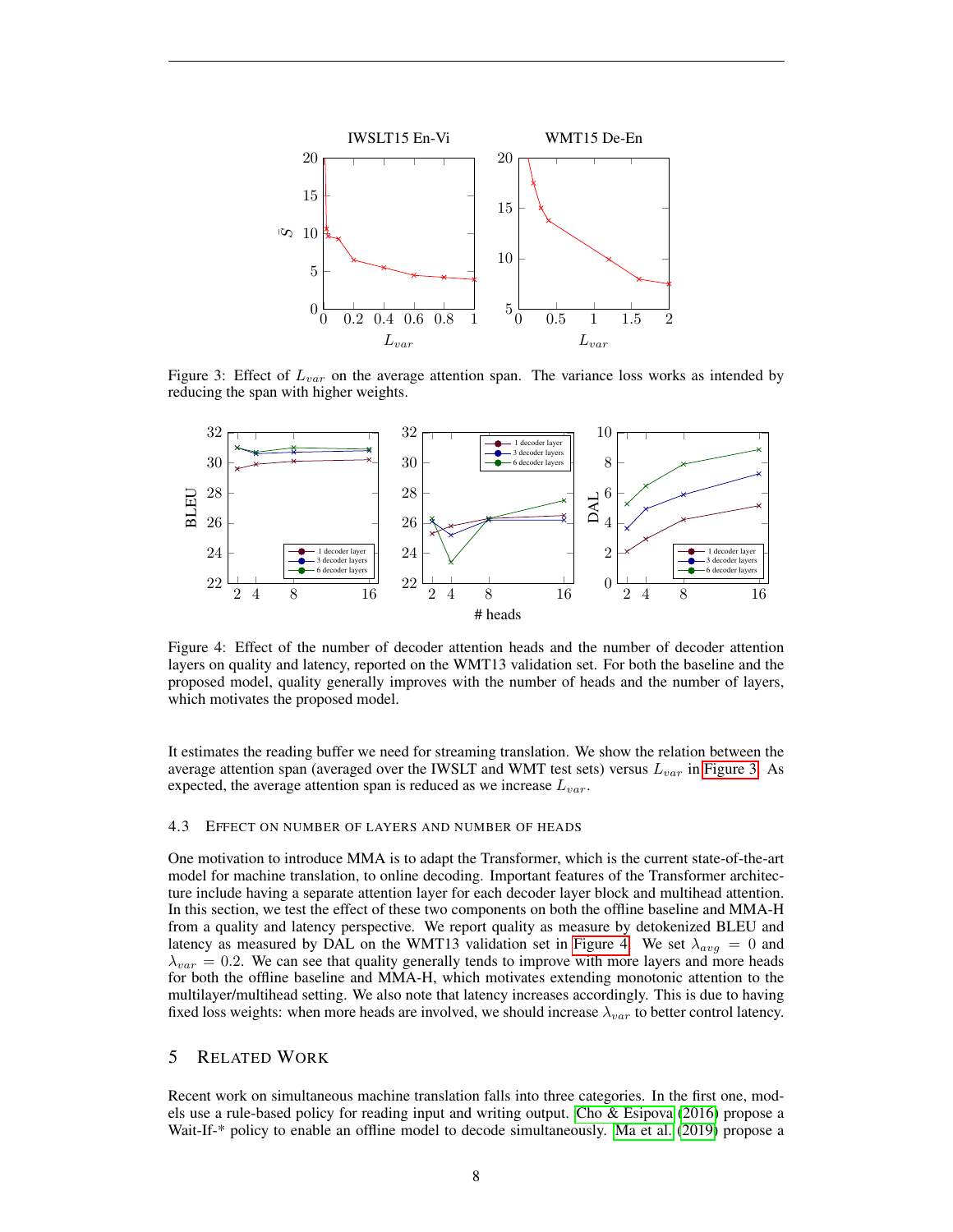<span id="page-7-0"></span>

Figure 3: Effect of  $L_{var}$  on the average attention span. The variance loss works as intended by reducing the span with higher weights.

<span id="page-7-1"></span>

Figure 4: Effect of the number of decoder attention heads and the number of decoder attention layers on quality and latency, reported on the WMT13 validation set. For both the baseline and the proposed model, quality generally improves with the number of heads and the number of layers, which motivates the proposed model.

It estimates the reading buffer we need for streaming translation. We show the relation between the average attention span (averaged over the IWSLT and WMT test sets) versus  $L_{var}$  in [Figure 3.](#page-7-0) As expected, the average attention span is reduced as we increase  $L_{var}$ .

# 4.3 EFFECT ON NUMBER OF LAYERS AND NUMBER OF HEADS

One motivation to introduce MMA is to adapt the Transformer, which is the current state-of-the-art model for machine translation, to online decoding. Important features of the Transformer architecture include having a separate attention layer for each decoder layer block and multihead attention. In this section, we test the effect of these two components on both the offline baseline and MMA-H from a quality and latency perspective. We report quality as measure by detokenized BLEU and latency as measured by DAL on the WMT13 validation set in [Figure 4.](#page-7-1) We set  $\lambda_{avg} = 0$  and  $\lambda_{var} = 0.2$ . We can see that quality generally tends to improve with more layers and more heads for both the offline baseline and MMA-H, which motivates extending monotonic attention to the multilayer/multihead setting. We also note that latency increases accordingly. This is due to having fixed loss weights: when more heads are involved, we should increase  $\lambda_{var}$  to better control latency.

# 5 RELATED WORK

Recent work on simultaneous machine translation falls into three categories. In the first one, models use a rule-based policy for reading input and writing output. [Cho & Esipova](#page-8-2) [\(2016\)](#page-8-2) propose a Wait-If-\* policy to enable an offline model to decode simultaneously. [Ma et al.](#page-9-1) [\(2019\)](#page-9-1) propose a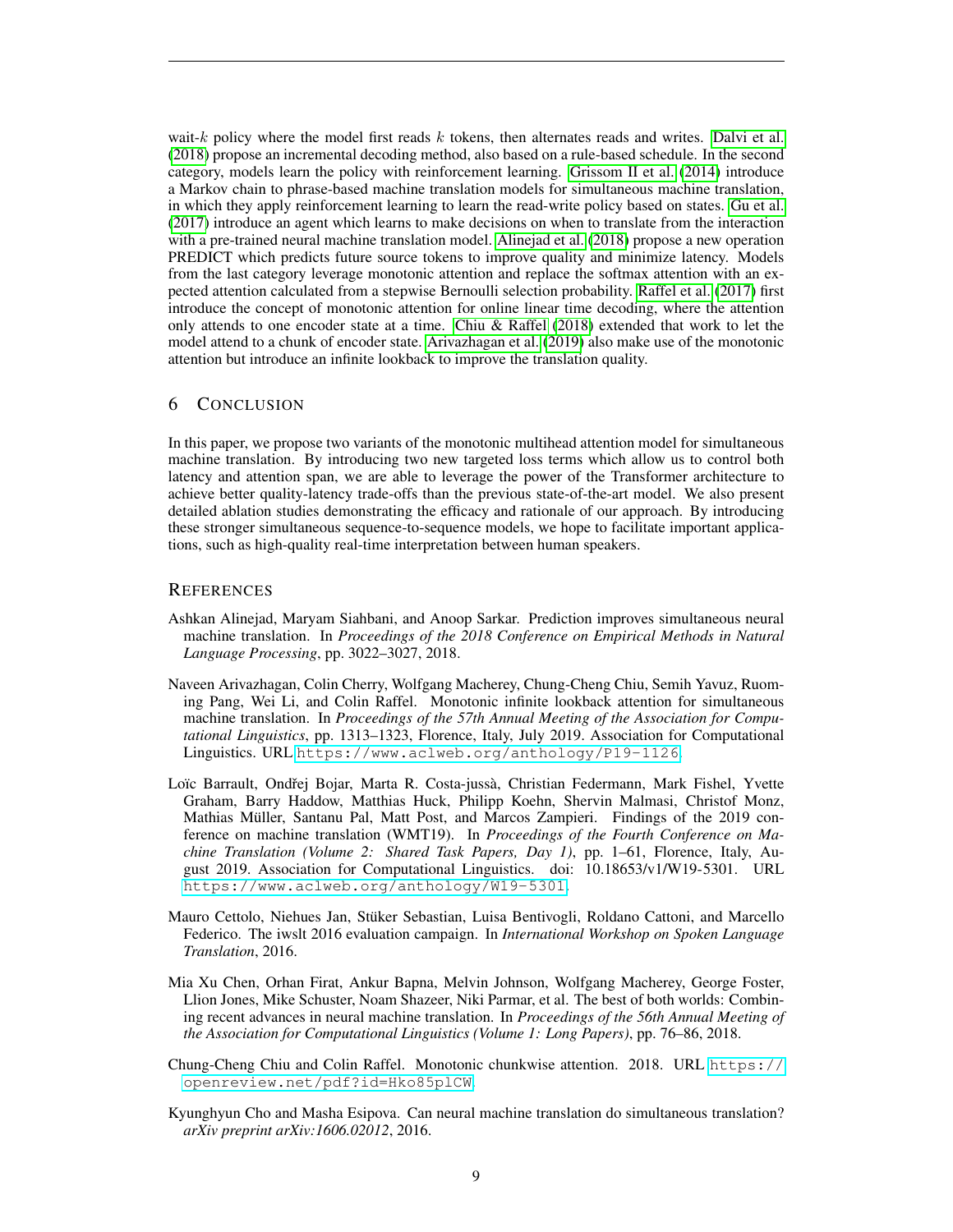wait- $k$  policy where the model first reads  $k$  tokens, then alternates reads and writes. [Dalvi et al.](#page-9-9) [\(2018\)](#page-9-9) propose an incremental decoding method, also based on a rule-based schedule. In the second category, models learn the policy with reinforcement learning. [Grissom II et al.](#page-9-10) [\(2014\)](#page-9-10) introduce a Markov chain to phrase-based machine translation models for simultaneous machine translation, in which they apply reinforcement learning to learn the read-write policy based on states. [Gu et al.](#page-9-11) [\(2017\)](#page-9-11) introduce an agent which learns to make decisions on when to translate from the interaction with a pre-trained neural machine translation model. [Alinejad et al.](#page-8-6) [\(2018\)](#page-8-6) propose a new operation PREDICT which predicts future source tokens to improve quality and minimize latency. Models from the last category leverage monotonic attention and replace the softmax attention with an expected attention calculated from a stepwise Bernoulli selection probability. [Raffel et al.](#page-9-0) [\(2017\)](#page-9-0) first introduce the concept of monotonic attention for online linear time decoding, where the attention only attends to one encoder state at a time. [Chiu & Raffel](#page-8-0) [\(2018\)](#page-8-0) extended that work to let the model attend to a chunk of encoder state. [Arivazhagan et al.](#page-8-1) [\(2019\)](#page-8-1) also make use of the monotonic attention but introduce an infinite lookback to improve the translation quality.

## 6 CONCLUSION

In this paper, we propose two variants of the monotonic multihead attention model for simultaneous machine translation. By introducing two new targeted loss terms which allow us to control both latency and attention span, we are able to leverage the power of the Transformer architecture to achieve better quality-latency trade-offs than the previous state-of-the-art model. We also present detailed ablation studies demonstrating the efficacy and rationale of our approach. By introducing these stronger simultaneous sequence-to-sequence models, we hope to facilitate important applications, such as high-quality real-time interpretation between human speakers.

#### **REFERENCES**

- <span id="page-8-6"></span>Ashkan Alinejad, Maryam Siahbani, and Anoop Sarkar. Prediction improves simultaneous neural machine translation. In *Proceedings of the 2018 Conference on Empirical Methods in Natural Language Processing*, pp. 3022–3027, 2018.
- <span id="page-8-1"></span>Naveen Arivazhagan, Colin Cherry, Wolfgang Macherey, Chung-Cheng Chiu, Semih Yavuz, Ruoming Pang, Wei Li, and Colin Raffel. Monotonic infinite lookback attention for simultaneous machine translation. In *Proceedings of the 57th Annual Meeting of the Association for Computational Linguistics*, pp. 1313–1323, Florence, Italy, July 2019. Association for Computational Linguistics. URL <https://www.aclweb.org/anthology/P19-1126>.
- <span id="page-8-3"></span>Loïc Barrault, Ondřej Bojar, Marta R. Costa-jussà, Christian Federmann, Mark Fishel, Yvette Graham, Barry Haddow, Matthias Huck, Philipp Koehn, Shervin Malmasi, Christof Monz, Mathias Müller, Santanu Pal, Matt Post, and Marcos Zampieri. Findings of the 2019 conference on machine translation (WMT19). In *Proceedings of the Fourth Conference on Machine Translation (Volume 2: Shared Task Papers, Day 1)*, pp. 1–61, Florence, Italy, August 2019. Association for Computational Linguistics. doi: 10.18653/v1/W19-5301. URL <https://www.aclweb.org/anthology/W19-5301>.
- <span id="page-8-5"></span>Mauro Cettolo, Niehues Jan, Stuker Sebastian, Luisa Bentivogli, Roldano Cattoni, and Marcello ¨ Federico. The iwslt 2016 evaluation campaign. In *International Workshop on Spoken Language Translation*, 2016.
- <span id="page-8-4"></span>Mia Xu Chen, Orhan Firat, Ankur Bapna, Melvin Johnson, Wolfgang Macherey, George Foster, Llion Jones, Mike Schuster, Noam Shazeer, Niki Parmar, et al. The best of both worlds: Combining recent advances in neural machine translation. In *Proceedings of the 56th Annual Meeting of the Association for Computational Linguistics (Volume 1: Long Papers)*, pp. 76–86, 2018.
- <span id="page-8-0"></span>Chung-Cheng Chiu and Colin Raffel. Monotonic chunkwise attention. 2018. URL [https://](https://openreview.net/pdf?id=Hko85plCW) [openreview.net/pdf?id=Hko85plCW](https://openreview.net/pdf?id=Hko85plCW).
- <span id="page-8-2"></span>Kyunghyun Cho and Masha Esipova. Can neural machine translation do simultaneous translation? *arXiv preprint arXiv:1606.02012*, 2016.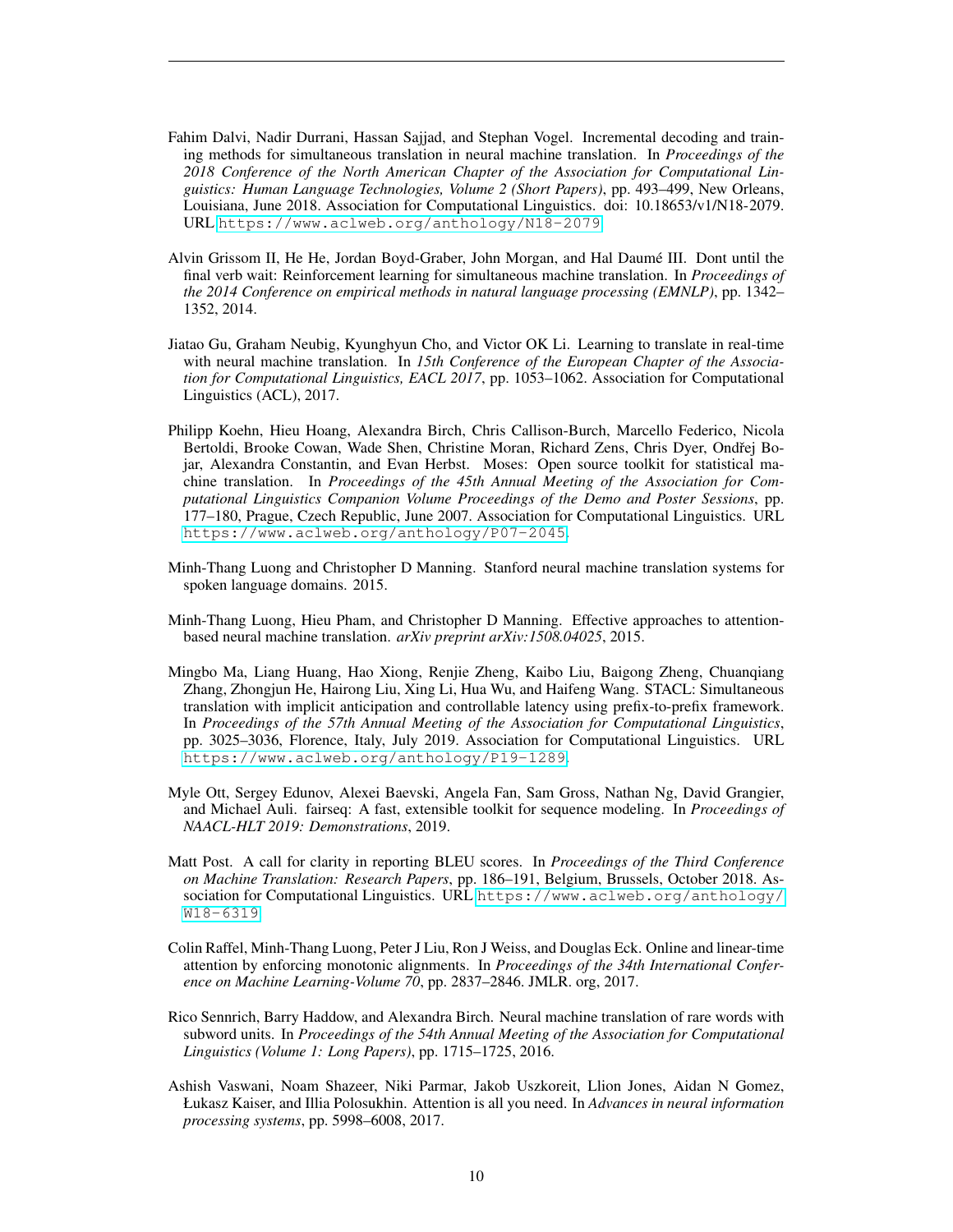- <span id="page-9-9"></span>Fahim Dalvi, Nadir Durrani, Hassan Sajjad, and Stephan Vogel. Incremental decoding and training methods for simultaneous translation in neural machine translation. In *Proceedings of the 2018 Conference of the North American Chapter of the Association for Computational Linguistics: Human Language Technologies, Volume 2 (Short Papers)*, pp. 493–499, New Orleans, Louisiana, June 2018. Association for Computational Linguistics. doi: 10.18653/v1/N18-2079. URL <https://www.aclweb.org/anthology/N18-2079>.
- <span id="page-9-10"></span>Alvin Grissom II, He He, Jordan Boyd-Graber, John Morgan, and Hal Daume III. Dont until the ´ final verb wait: Reinforcement learning for simultaneous machine translation. In *Proceedings of the 2014 Conference on empirical methods in natural language processing (EMNLP)*, pp. 1342– 1352, 2014.
- <span id="page-9-11"></span>Jiatao Gu, Graham Neubig, Kyunghyun Cho, and Victor OK Li. Learning to translate in real-time with neural machine translation. In *15th Conference of the European Chapter of the Association for Computational Linguistics, EACL 2017*, pp. 1053–1062. Association for Computational Linguistics (ACL), 2017.
- <span id="page-9-4"></span>Philipp Koehn, Hieu Hoang, Alexandra Birch, Chris Callison-Burch, Marcello Federico, Nicola Bertoldi, Brooke Cowan, Wade Shen, Christine Moran, Richard Zens, Chris Dyer, Ondřej Bojar, Alexandra Constantin, and Evan Herbst. Moses: Open source toolkit for statistical machine translation. In *Proceedings of the 45th Annual Meeting of the Association for Computational Linguistics Companion Volume Proceedings of the Demo and Poster Sessions*, pp. 177–180, Prague, Czech Republic, June 2007. Association for Computational Linguistics. URL <https://www.aclweb.org/anthology/P07-2045>.
- <span id="page-9-5"></span>Minh-Thang Luong and Christopher D Manning. Stanford neural machine translation systems for spoken language domains. 2015.
- <span id="page-9-7"></span>Minh-Thang Luong, Hieu Pham, and Christopher D Manning. Effective approaches to attentionbased neural machine translation. *arXiv preprint arXiv:1508.04025*, 2015.
- <span id="page-9-1"></span>Mingbo Ma, Liang Huang, Hao Xiong, Renjie Zheng, Kaibo Liu, Baigong Zheng, Chuanqiang Zhang, Zhongjun He, Hairong Liu, Xing Li, Hua Wu, and Haifeng Wang. STACL: Simultaneous translation with implicit anticipation and controllable latency using prefix-to-prefix framework. In *Proceedings of the 57th Annual Meeting of the Association for Computational Linguistics*, pp. 3025–3036, Florence, Italy, July 2019. Association for Computational Linguistics. URL <https://www.aclweb.org/anthology/P19-1289>.
- <span id="page-9-8"></span>Myle Ott, Sergey Edunov, Alexei Baevski, Angela Fan, Sam Gross, Nathan Ng, David Grangier, and Michael Auli. fairseq: A fast, extensible toolkit for sequence modeling. In *Proceedings of NAACL-HLT 2019: Demonstrations*, 2019.
- <span id="page-9-3"></span>Matt Post. A call for clarity in reporting BLEU scores. In *Proceedings of the Third Conference on Machine Translation: Research Papers*, pp. 186–191, Belgium, Brussels, October 2018. Association for Computational Linguistics. URL [https://www.aclweb.org/anthology/](https://www.aclweb.org/anthology/W18-6319) [W18-6319](https://www.aclweb.org/anthology/W18-6319).
- <span id="page-9-0"></span>Colin Raffel, Minh-Thang Luong, Peter J Liu, Ron J Weiss, and Douglas Eck. Online and linear-time attention by enforcing monotonic alignments. In *Proceedings of the 34th International Conference on Machine Learning-Volume 70*, pp. 2837–2846. JMLR. org, 2017.
- <span id="page-9-6"></span>Rico Sennrich, Barry Haddow, and Alexandra Birch. Neural machine translation of rare words with subword units. In *Proceedings of the 54th Annual Meeting of the Association for Computational Linguistics (Volume 1: Long Papers)*, pp. 1715–1725, 2016.
- <span id="page-9-2"></span>Ashish Vaswani, Noam Shazeer, Niki Parmar, Jakob Uszkoreit, Llion Jones, Aidan N Gomez, Łukasz Kaiser, and Illia Polosukhin. Attention is all you need. In *Advances in neural information processing systems*, pp. 5998–6008, 2017.